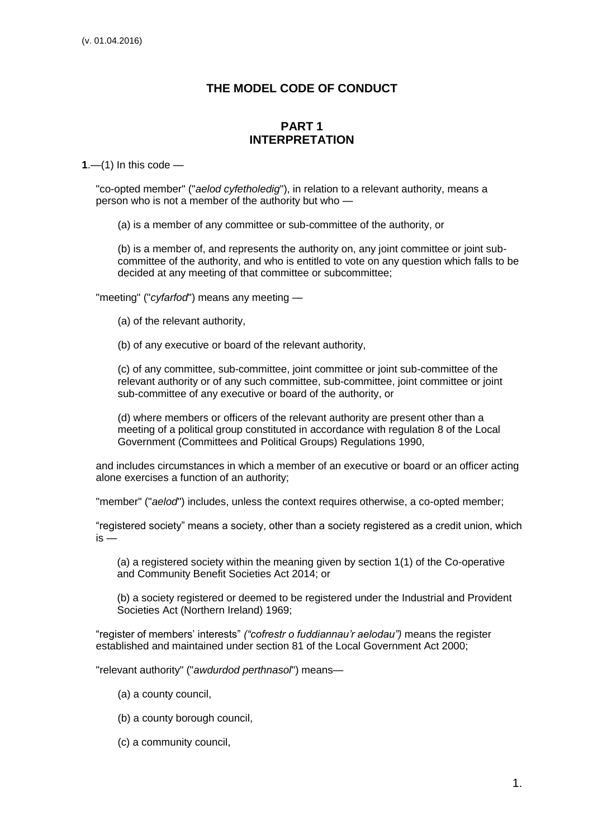# **THE MODEL CODE OF CONDUCT**

# **PART 1 INTERPRETATION**

 $1 - (1)$  In this code  $-$ 

"co-opted member" ("*aelod cyfetholedig*"), in relation to a relevant authority, means a person who is not a member of the authority but who —

(a) is a member of any committee or sub-committee of the authority, or

(b) is a member of, and represents the authority on, any joint committee or joint subcommittee of the authority, and who is entitled to vote on any question which falls to be decided at any meeting of that committee or subcommittee;

"meeting" ("*cyfarfod*") means any meeting —

(a) of the relevant authority,

(b) of any executive or board of the relevant authority,

(c) of any committee, sub-committee, joint committee or joint sub-committee of the relevant authority or of any such committee, sub-committee, joint committee or joint sub-committee of any executive or board of the authority, or

(d) where members or officers of the relevant authority are present other than a meeting of a political group constituted in accordance with regulation 8 of the Local Government (Committees and Political Groups) Regulations 1990,

and includes circumstances in which a member of an executive or board or an officer acting alone exercises a function of an authority;

"member" ("*aelod*") includes, unless the context requires otherwise, a co-opted member;

"registered society" means a society, other than a society registered as a credit union, which  $is -$ 

(a) a registered society within the meaning given by section 1(1) of the Co-operative and Community Benefit Societies Act 2014; or

(b) a society registered or deemed to be registered under the Industrial and Provident Societies Act (Northern Ireland) 1969;

"register of members' interests" *("cofrestr o fuddiannau'r aelodau")* means the register established and maintained under section 81 of the Local Government Act 2000;

"relevant authority" ("*awdurdod perthnasol*") means—

- (a) a county council,
- (b) a county borough council,
- (c) a community council,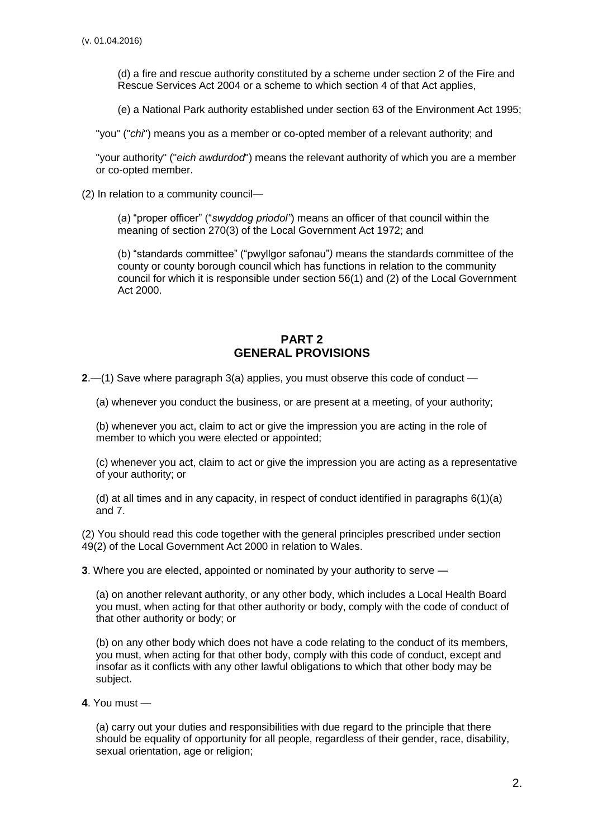(d) a fire and rescue authority constituted by a scheme under section 2 of the Fire and Rescue Services Act 2004 or a scheme to which section 4 of that Act applies,

(e) a National Park authority established under section 63 of the Environment Act 1995;

"you" ("*chi*") means you as a member or co-opted member of a relevant authority; and

"your authority" ("*eich awdurdod*") means the relevant authority of which you are a member or co-opted member.

(2) In relation to a community council—

(a) "proper officer" ("*swyddog priodol"*) means an officer of that council within the meaning of section 270(3) of the Local Government Act 1972; and

(b) "standards committee" ("pwyllgor safonau"*)* means the standards committee of the county or county borough council which has functions in relation to the community council for which it is responsible under section 56(1) and (2) of the Local Government Act 2000.

## **PART 2 GENERAL PROVISIONS**

**2**.—(1) Save where paragraph 3(a) applies, you must observe this code of conduct —

(a) whenever you conduct the business, or are present at a meeting, of your authority;

(b) whenever you act, claim to act or give the impression you are acting in the role of member to which you were elected or appointed;

(c) whenever you act, claim to act or give the impression you are acting as a representative of your authority; or

(d) at all times and in any capacity, in respect of conduct identified in paragraphs 6(1)(a) and 7.

(2) You should read this code together with the general principles prescribed under section 49(2) of the Local Government Act 2000 in relation to Wales.

**3**. Where you are elected, appointed or nominated by your authority to serve —

(a) on another relevant authority, or any other body, which includes a Local Health Board you must, when acting for that other authority or body, comply with the code of conduct of that other authority or body; or

(b) on any other body which does not have a code relating to the conduct of its members, you must, when acting for that other body, comply with this code of conduct, except and insofar as it conflicts with any other lawful obligations to which that other body may be subject.

**4**. You must —

(a) carry out your duties and responsibilities with due regard to the principle that there should be equality of opportunity for all people, regardless of their gender, race, disability, sexual orientation, age or religion;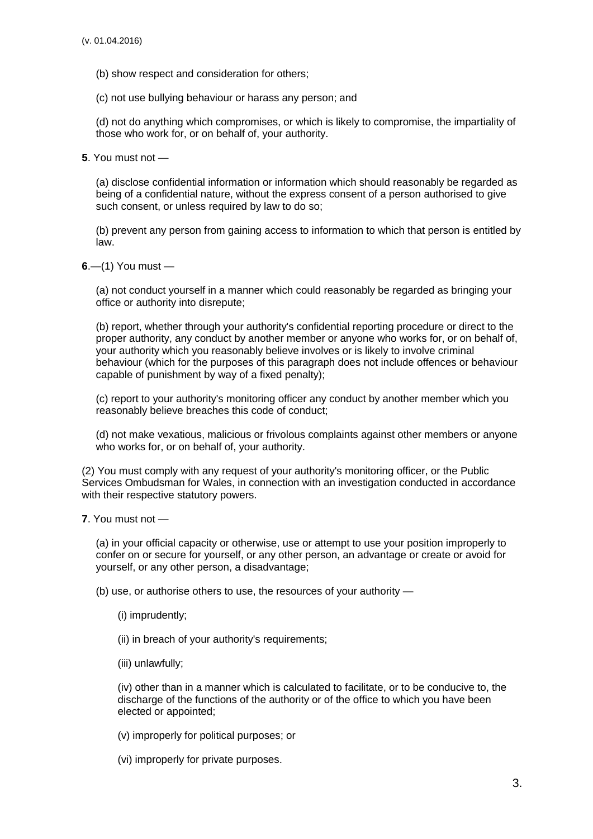- (b) show respect and consideration for others;
- (c) not use bullying behaviour or harass any person; and

(d) not do anything which compromises, or which is likely to compromise, the impartiality of those who work for, or on behalf of, your authority.

**5**. You must not —

(a) disclose confidential information or information which should reasonably be regarded as being of a confidential nature, without the express consent of a person authorised to give such consent, or unless required by law to do so;

(b) prevent any person from gaining access to information to which that person is entitled by law.

**6**.—(1) You must —

(a) not conduct yourself in a manner which could reasonably be regarded as bringing your office or authority into disrepute;

(b) report, whether through your authority's confidential reporting procedure or direct to the proper authority, any conduct by another member or anyone who works for, or on behalf of, your authority which you reasonably believe involves or is likely to involve criminal behaviour (which for the purposes of this paragraph does not include offences or behaviour capable of punishment by way of a fixed penalty);

(c) report to your authority's monitoring officer any conduct by another member which you reasonably believe breaches this code of conduct;

(d) not make vexatious, malicious or frivolous complaints against other members or anyone who works for, or on behalf of, your authority.

(2) You must comply with any request of your authority's monitoring officer, or the Public Services Ombudsman for Wales, in connection with an investigation conducted in accordance with their respective statutory powers.

**7**. You must not —

(a) in your official capacity or otherwise, use or attempt to use your position improperly to confer on or secure for yourself, or any other person, an advantage or create or avoid for yourself, or any other person, a disadvantage;

(b) use, or authorise others to use, the resources of your authority —

- (i) imprudently;
- (ii) in breach of your authority's requirements;
- (iii) unlawfully;

(iv) other than in a manner which is calculated to facilitate, or to be conducive to, the discharge of the functions of the authority or of the office to which you have been elected or appointed;

- (v) improperly for political purposes; or
- (vi) improperly for private purposes.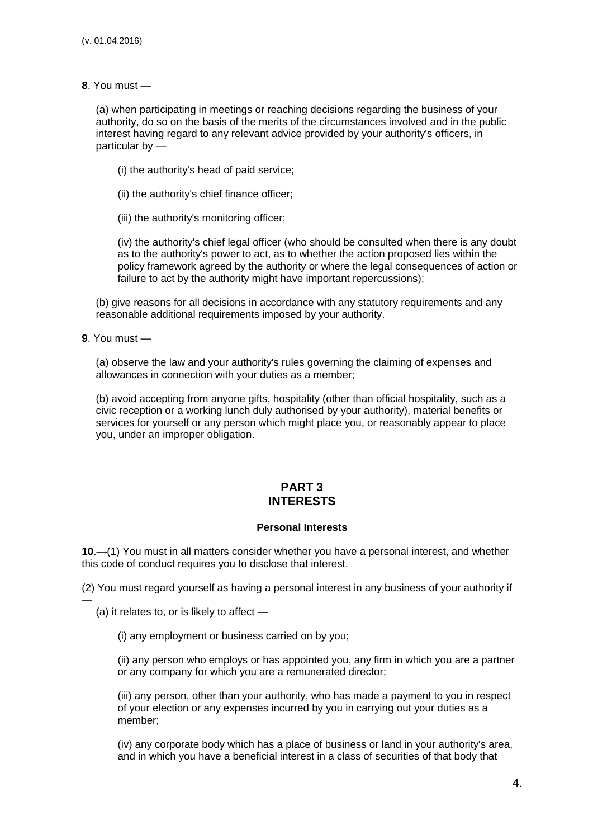**8**. You must —

(a) when participating in meetings or reaching decisions regarding the business of your authority, do so on the basis of the merits of the circumstances involved and in the public interest having regard to any relevant advice provided by your authority's officers, in particular by —

- (i) the authority's head of paid service;
- (ii) the authority's chief finance officer;
- (iii) the authority's monitoring officer;

(iv) the authority's chief legal officer (who should be consulted when there is any doubt as to the authority's power to act, as to whether the action proposed lies within the policy framework agreed by the authority or where the legal consequences of action or failure to act by the authority might have important repercussions);

(b) give reasons for all decisions in accordance with any statutory requirements and any reasonable additional requirements imposed by your authority.

**9**. You must —

—

(a) observe the law and your authority's rules governing the claiming of expenses and allowances in connection with your duties as a member;

(b) avoid accepting from anyone gifts, hospitality (other than official hospitality, such as a civic reception or a working lunch duly authorised by your authority), material benefits or services for yourself or any person which might place you, or reasonably appear to place you, under an improper obligation.

## **PART 3 INTERESTS**

#### **Personal Interests**

**10**.—(1) You must in all matters consider whether you have a personal interest, and whether this code of conduct requires you to disclose that interest.

(2) You must regard yourself as having a personal interest in any business of your authority if

(a) it relates to, or is likely to affect —

(i) any employment or business carried on by you;

(ii) any person who employs or has appointed you, any firm in which you are a partner or any company for which you are a remunerated director;

(iii) any person, other than your authority, who has made a payment to you in respect of your election or any expenses incurred by you in carrying out your duties as a member;

(iv) any corporate body which has a place of business or land in your authority's area, and in which you have a beneficial interest in a class of securities of that body that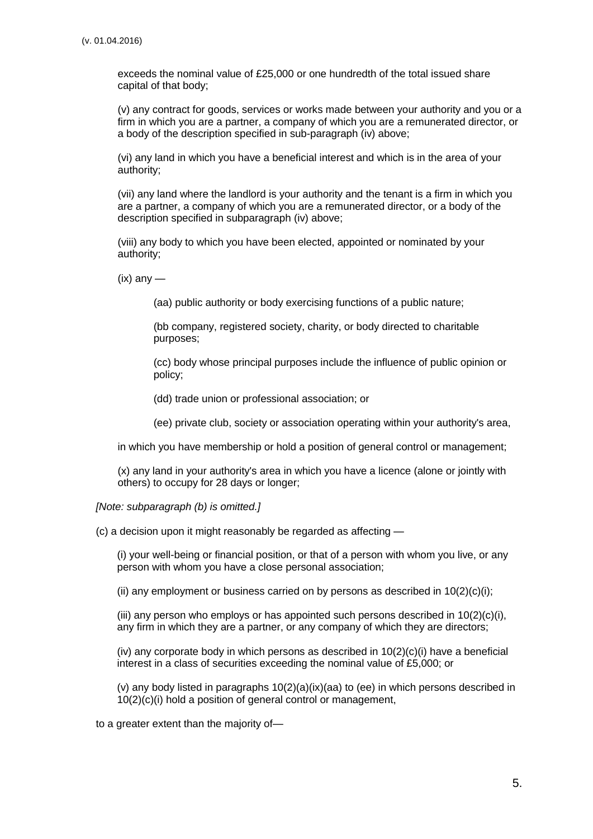exceeds the nominal value of £25,000 or one hundredth of the total issued share capital of that body;

(v) any contract for goods, services or works made between your authority and you or a firm in which you are a partner, a company of which you are a remunerated director, or a body of the description specified in sub-paragraph (iv) above;

(vi) any land in which you have a beneficial interest and which is in the area of your authority;

(vii) any land where the landlord is your authority and the tenant is a firm in which you are a partner, a company of which you are a remunerated director, or a body of the description specified in subparagraph (iv) above;

(viii) any body to which you have been elected, appointed or nominated by your authority;

 $(ix)$  any  $-$ 

(aa) public authority or body exercising functions of a public nature;

(bb company, registered society, charity, or body directed to charitable purposes;

(cc) body whose principal purposes include the influence of public opinion or policy;

(dd) trade union or professional association; or

(ee) private club, society or association operating within your authority's area,

in which you have membership or hold a position of general control or management;

(x) any land in your authority's area in which you have a licence (alone or jointly with others) to occupy for 28 days or longer;

*[Note: subparagraph (b) is omitted.]*

(c) a decision upon it might reasonably be regarded as affecting —

(i) your well-being or financial position, or that of a person with whom you live, or any person with whom you have a close personal association;

(ii) any employment or business carried on by persons as described in  $10(2)(c)(i)$ ;

(iii) any person who employs or has appointed such persons described in  $10(2)(c)(i)$ , any firm in which they are a partner, or any company of which they are directors;

(iv) any corporate body in which persons as described in 10(2)(c)(i) have a beneficial interest in a class of securities exceeding the nominal value of £5,000; or

(v) any body listed in paragraphs  $10(2)(a)(ix)(aa)$  to (ee) in which persons described in 10(2)(c)(i) hold a position of general control or management,

to a greater extent than the majority of—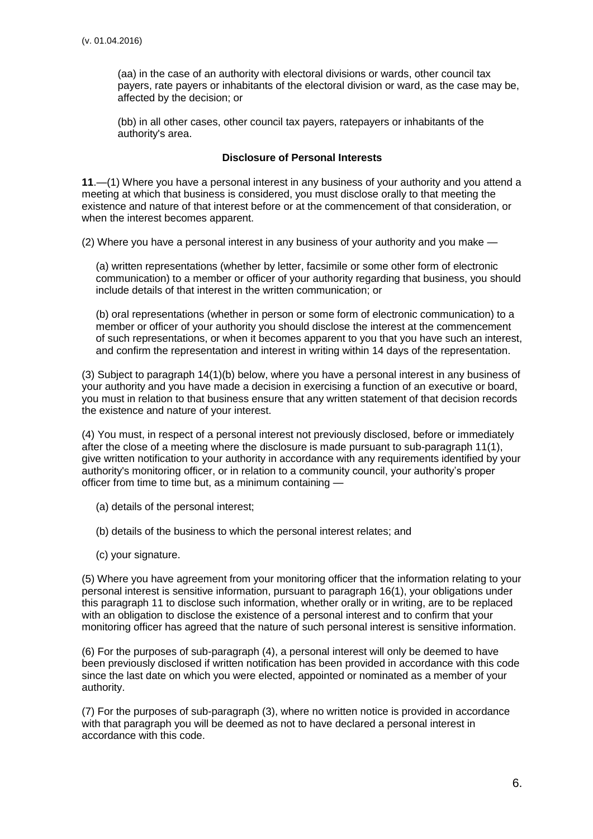(aa) in the case of an authority with electoral divisions or wards, other council tax payers, rate payers or inhabitants of the electoral division or ward, as the case may be, affected by the decision; or

(bb) in all other cases, other council tax payers, ratepayers or inhabitants of the authority's area.

#### **Disclosure of Personal Interests**

**11**.—(1) Where you have a personal interest in any business of your authority and you attend a meeting at which that business is considered, you must disclose orally to that meeting the existence and nature of that interest before or at the commencement of that consideration, or when the interest becomes apparent.

(2) Where you have a personal interest in any business of your authority and you make —

(a) written representations (whether by letter, facsimile or some other form of electronic communication) to a member or officer of your authority regarding that business, you should include details of that interest in the written communication; or

(b) oral representations (whether in person or some form of electronic communication) to a member or officer of your authority you should disclose the interest at the commencement of such representations, or when it becomes apparent to you that you have such an interest, and confirm the representation and interest in writing within 14 days of the representation.

(3) Subject to paragraph 14(1)(b) below, where you have a personal interest in any business of your authority and you have made a decision in exercising a function of an executive or board, you must in relation to that business ensure that any written statement of that decision records the existence and nature of your interest.

(4) You must, in respect of a personal interest not previously disclosed, before or immediately after the close of a meeting where the disclosure is made pursuant to sub-paragraph 11(1), give written notification to your authority in accordance with any requirements identified by your authority's monitoring officer, or in relation to a community council, your authority's proper officer from time to time but, as a minimum containing —

- (a) details of the personal interest;
- (b) details of the business to which the personal interest relates; and
- (c) your signature.

(5) Where you have agreement from your monitoring officer that the information relating to your personal interest is sensitive information, pursuant to paragraph 16(1), your obligations under this paragraph 11 to disclose such information, whether orally or in writing, are to be replaced with an obligation to disclose the existence of a personal interest and to confirm that your monitoring officer has agreed that the nature of such personal interest is sensitive information.

(6) For the purposes of sub-paragraph (4), a personal interest will only be deemed to have been previously disclosed if written notification has been provided in accordance with this code since the last date on which you were elected, appointed or nominated as a member of your authority.

(7) For the purposes of sub-paragraph (3), where no written notice is provided in accordance with that paragraph you will be deemed as not to have declared a personal interest in accordance with this code.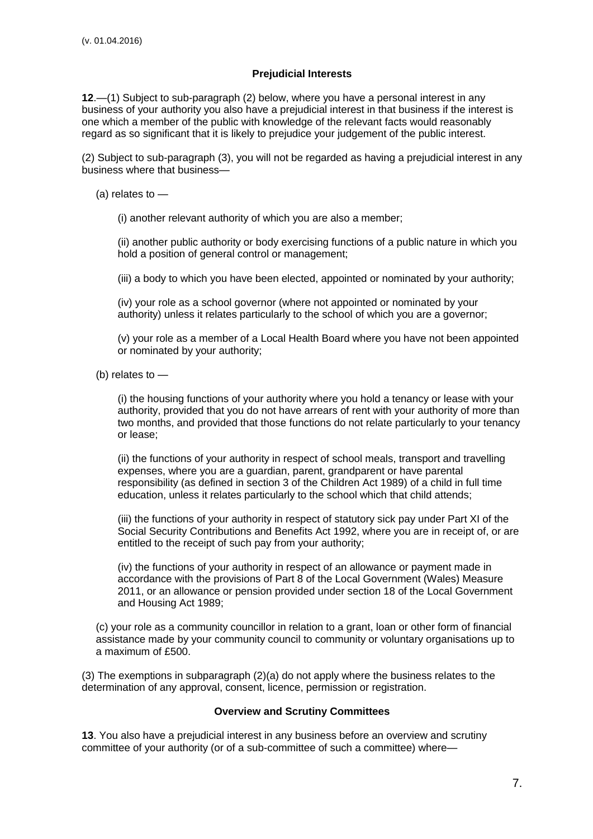### **Prejudicial Interests**

**12**.—(1) Subject to sub-paragraph (2) below, where you have a personal interest in any business of your authority you also have a prejudicial interest in that business if the interest is one which a member of the public with knowledge of the relevant facts would reasonably regard as so significant that it is likely to prejudice your judgement of the public interest.

(2) Subject to sub-paragraph (3), you will not be regarded as having a prejudicial interest in any business where that business—

(a) relates to —

(i) another relevant authority of which you are also a member;

(ii) another public authority or body exercising functions of a public nature in which you hold a position of general control or management;

(iii) a body to which you have been elected, appointed or nominated by your authority;

(iv) your role as a school governor (where not appointed or nominated by your authority) unless it relates particularly to the school of which you are a governor;

(v) your role as a member of a Local Health Board where you have not been appointed or nominated by your authority;

(b) relates to —

(i) the housing functions of your authority where you hold a tenancy or lease with your authority, provided that you do not have arrears of rent with your authority of more than two months, and provided that those functions do not relate particularly to your tenancy or lease;

(ii) the functions of your authority in respect of school meals, transport and travelling expenses, where you are a guardian, parent, grandparent or have parental responsibility (as defined in section 3 of the Children Act 1989) of a child in full time education, unless it relates particularly to the school which that child attends;

(iii) the functions of your authority in respect of statutory sick pay under Part XI of the Social Security Contributions and Benefits Act 1992, where you are in receipt of, or are entitled to the receipt of such pay from your authority;

(iv) the functions of your authority in respect of an allowance or payment made in accordance with the provisions of Part 8 of the Local Government (Wales) Measure 2011, or an allowance or pension provided under section 18 of the Local Government and Housing Act 1989;

(c) your role as a community councillor in relation to a grant, loan or other form of financial assistance made by your community council to community or voluntary organisations up to a maximum of £500.

(3) The exemptions in subparagraph (2)(a) do not apply where the business relates to the determination of any approval, consent, licence, permission or registration.

#### **Overview and Scrutiny Committees**

**13**. You also have a prejudicial interest in any business before an overview and scrutiny committee of your authority (or of a sub-committee of such a committee) where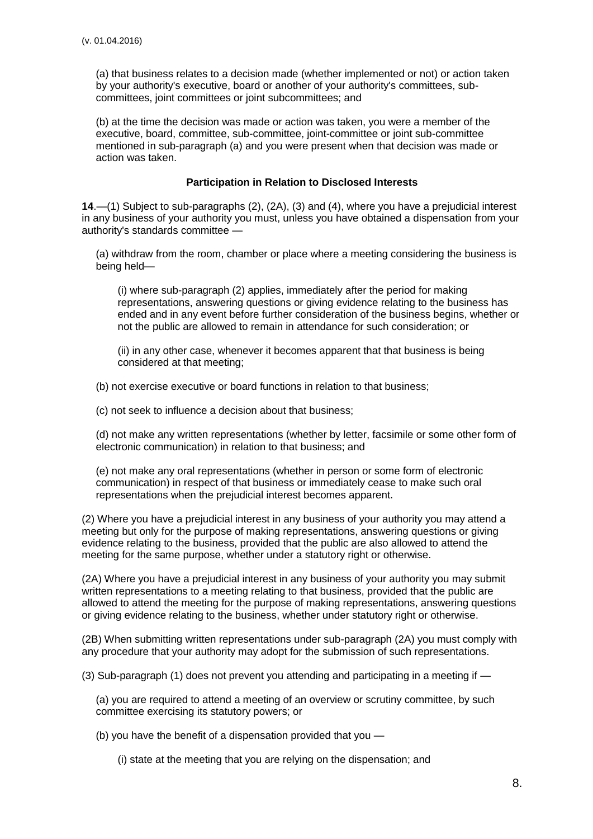(a) that business relates to a decision made (whether implemented or not) or action taken by your authority's executive, board or another of your authority's committees, subcommittees, joint committees or joint subcommittees; and

(b) at the time the decision was made or action was taken, you were a member of the executive, board, committee, sub-committee, joint-committee or joint sub-committee mentioned in sub-paragraph (a) and you were present when that decision was made or action was taken.

#### **Participation in Relation to Disclosed Interests**

**14**.—(1) Subject to sub-paragraphs (2), (2A), (3) and (4), where you have a prejudicial interest in any business of your authority you must, unless you have obtained a dispensation from your authority's standards committee —

(a) withdraw from the room, chamber or place where a meeting considering the business is being held—

(i) where sub-paragraph (2) applies, immediately after the period for making representations, answering questions or giving evidence relating to the business has ended and in any event before further consideration of the business begins, whether or not the public are allowed to remain in attendance for such consideration; or

(ii) in any other case, whenever it becomes apparent that that business is being considered at that meeting;

(b) not exercise executive or board functions in relation to that business;

(c) not seek to influence a decision about that business;

(d) not make any written representations (whether by letter, facsimile or some other form of electronic communication) in relation to that business; and

(e) not make any oral representations (whether in person or some form of electronic communication) in respect of that business or immediately cease to make such oral representations when the prejudicial interest becomes apparent.

(2) Where you have a prejudicial interest in any business of your authority you may attend a meeting but only for the purpose of making representations, answering questions or giving evidence relating to the business, provided that the public are also allowed to attend the meeting for the same purpose, whether under a statutory right or otherwise.

(2A) Where you have a prejudicial interest in any business of your authority you may submit written representations to a meeting relating to that business, provided that the public are allowed to attend the meeting for the purpose of making representations, answering questions or giving evidence relating to the business, whether under statutory right or otherwise.

(2B) When submitting written representations under sub-paragraph (2A) you must comply with any procedure that your authority may adopt for the submission of such representations.

(3) Sub-paragraph (1) does not prevent you attending and participating in a meeting if —

(a) you are required to attend a meeting of an overview or scrutiny committee, by such committee exercising its statutory powers; or

(b) you have the benefit of a dispensation provided that you —

(i) state at the meeting that you are relying on the dispensation; and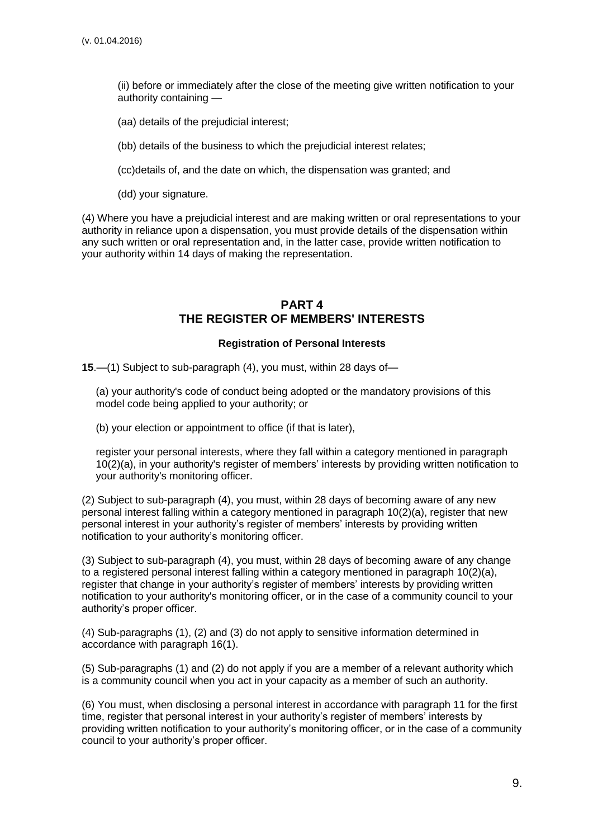(ii) before or immediately after the close of the meeting give written notification to your authority containing —

- (aa) details of the prejudicial interest;
- (bb) details of the business to which the prejudicial interest relates;
- (cc)details of, and the date on which, the dispensation was granted; and
- (dd) your signature.

(4) Where you have a prejudicial interest and are making written or oral representations to your authority in reliance upon a dispensation, you must provide details of the dispensation within any such written or oral representation and, in the latter case, provide written notification to your authority within 14 days of making the representation.

## **PART 4 THE REGISTER OF MEMBERS' INTERESTS**

#### **Registration of Personal Interests**

**15**.—(1) Subject to sub-paragraph (4), you must, within 28 days of—

(a) your authority's code of conduct being adopted or the mandatory provisions of this model code being applied to your authority; or

(b) your election or appointment to office (if that is later),

register your personal interests, where they fall within a category mentioned in paragraph 10(2)(a), in your authority's register of members' interests by providing written notification to your authority's monitoring officer.

(2) Subject to sub-paragraph (4), you must, within 28 days of becoming aware of any new personal interest falling within a category mentioned in paragraph 10(2)(a), register that new personal interest in your authority's register of members' interests by providing written notification to your authority's monitoring officer.

(3) Subject to sub-paragraph (4), you must, within 28 days of becoming aware of any change to a registered personal interest falling within a category mentioned in paragraph 10(2)(a), register that change in your authority's register of members' interests by providing written notification to your authority's monitoring officer, or in the case of a community council to your authority's proper officer.

(4) Sub-paragraphs (1), (2) and (3) do not apply to sensitive information determined in accordance with paragraph 16(1).

(5) Sub-paragraphs (1) and (2) do not apply if you are a member of a relevant authority which is a community council when you act in your capacity as a member of such an authority.

(6) You must, when disclosing a personal interest in accordance with paragraph 11 for the first time, register that personal interest in your authority's register of members' interests by providing written notification to your authority's monitoring officer, or in the case of a community council to your authority's proper officer.